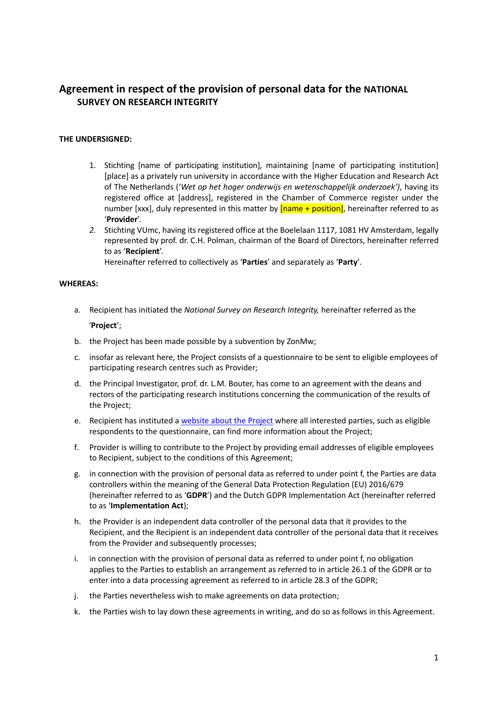# **Agreement in respect of the provision of personal data for the NATIONAL SURVEY ON RESEARCH INTEGRITY**

# **THE UNDERSIGNED:**

- 1. Stichting [name of participating institution], maintaining [name of participating institution] [place] as a privately run university in accordance with the Higher Education and Research Act of The Netherlands ('*Wet op het hoger onderwijs en wetenschappelijk onderzoek')*, having its registered office at [address], registered in the Chamber of Commerce register under the number [xxx], duly represented in this matter by **[name + position]**, hereinafter referred to as '**Provider**'.
- *2.* Stichting VUmc, having its registered office at the Boelelaan 1117, 1081 HV Amsterdam, legally represented by prof. dr. C.H. Polman, chairman of the Board of Directors, hereinafter referred to as '**Recipient**'.

Hereinafter referred to collectively as '**Parties**' and separately as '**Party**'.

# **WHEREAS:**

- a. Recipient has initiated the *National Survey on Research Integrity,* hereinafter referred as the '**Project**';
- b. the Project has been made possible by a subvention by ZonMw;
- c. insofar as relevant here, the Project consists of a questionnaire to be sent to eligible employees of participating research centres such as Provider;
- d. the Principal Investigator, prof. dr. L.M. Bouter, has come to an agreement with the deans and rectors of the participating research institutions concerning the communication of the results of the Project;
- e. Recipient has instituted [a website about the Project](https://www.nsri2020.nl/) where all interested parties, such as eligible respondents to the questionnaire, can find more information about the Project;
- f. Provider is willing to contribute to the Project by providing email addresses of eligible employees to Recipient, subject to the conditions of this Agreement;
- g. in connection with the provision of personal data as referred to under point f, the Parties are data controllers within the meaning of the General Data Protection Regulation (EU) 2016/679 (hereinafter referred to as '**GDPR**') and the Dutch GDPR Implementation Act (hereinafter referred to as '**Implementation Act**);
- h. the Provider is an independent data controller of the personal data that it provides to the Recipient, and the Recipient is an independent data controller of the personal data that it receives from the Provider and subsequently processes;
- i. in connection with the provision of personal data as referred to under point f, no obligation applies to the Parties to establish an arrangement as referred to in article 26.1 of the GDPR or to enter into a data processing agreement as referred to in article 28.3 of the GDPR;
- j. the Parties nevertheless wish to make agreements on data protection;
- k. the Parties wish to lay down these agreements in writing, and do so as follows in this Agreement.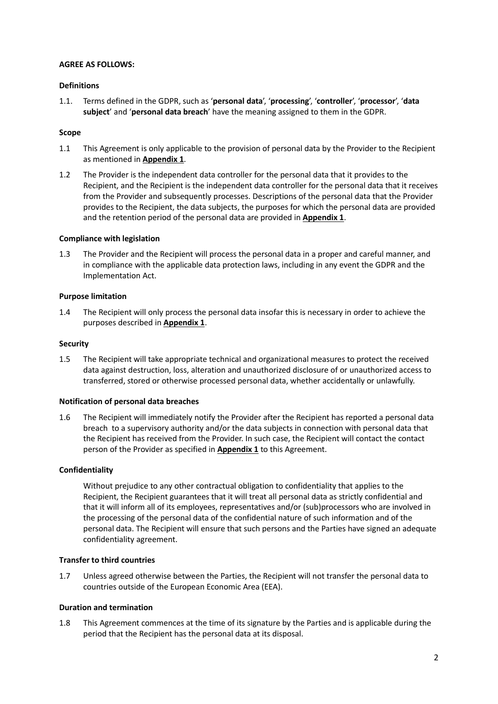## **AGREE AS FOLLOWS:**

# **Definitions**

1.1. Terms defined in the GDPR, such as '**personal data**', '**processing**', '**controller**', '**processor**', '**data subject**' and '**personal data breach**' have the meaning assigned to them in the GDPR.

## **Scope**

- 1.1 This Agreement is only applicable to the provision of personal data by the Provider to the Recipient as mentioned in **Appendix 1**.
- 1.2 The Provider is the independent data controller for the personal data that it provides to the Recipient, and the Recipient is the independent data controller for the personal data that it receives from the Provider and subsequently processes. Descriptions of the personal data that the Provider provides to the Recipient, the data subjects, the purposes for which the personal data are provided and the retention period of the personal data are provided in **Appendix 1**.

## **Compliance with legislation**

1.3 The Provider and the Recipient will process the personal data in a proper and careful manner, and in compliance with the applicable data protection laws, including in any event the GDPR and the Implementation Act.

## **Purpose limitation**

1.4 The Recipient will only process the personal data insofar this is necessary in order to achieve the purposes described in **Appendix 1**.

#### **Security**

1.5 The Recipient will take appropriate technical and organizational measures to protect the received data against destruction, loss, alteration and unauthorized disclosure of or unauthorized access to transferred, stored or otherwise processed personal data, whether accidentally or unlawfully.

#### **Notification of personal data breaches**

1.6 The Recipient will immediately notify the Provider after the Recipient has reported a personal data breach to a supervisory authority and/or the data subjects in connection with personal data that the Recipient has received from the Provider. In such case, the Recipient will contact the contact person of the Provider as specified in **Appendix 1** to this Agreement.

#### **Confidentiality**

Without prejudice to any other contractual obligation to confidentiality that applies to the Recipient, the Recipient guarantees that it will treat all personal data as strictly confidential and that it will inform all of its employees, representatives and/or (sub)processors who are involved in the processing of the personal data of the confidential nature of such information and of the personal data. The Recipient will ensure that such persons and the Parties have signed an adequate confidentiality agreement.

#### **Transfer to third countries**

1.7 Unless agreed otherwise between the Parties, the Recipient will not transfer the personal data to countries outside of the European Economic Area (EEA).

#### **Duration and termination**

1.8 This Agreement commences at the time of its signature by the Parties and is applicable during the period that the Recipient has the personal data at its disposal.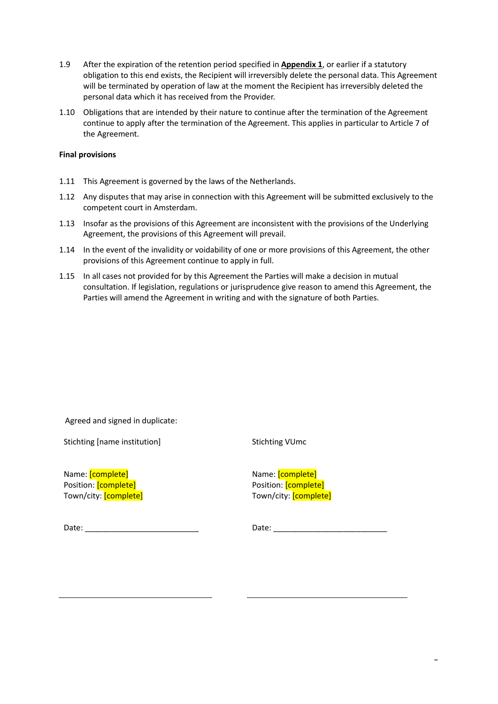- 1.9 After the expiration of the retention period specified in **Appendix 1**, or earlier if a statutory obligation to this end exists, the Recipient will irreversibly delete the personal data. This Agreement will be terminated by operation of law at the moment the Recipient has irreversibly deleted the personal data which it has received from the Provider.
- 1.10 Obligations that are intended by their nature to continue after the termination of the Agreement continue to apply after the termination of the Agreement. This applies in particular to Article 7 of the Agreement.

# **Final provisions**

- 1.11 This Agreement is governed by the laws of the Netherlands.
- 1.12 Any disputes that may arise in connection with this Agreement will be submitted exclusively to the competent court in Amsterdam.
- 1.13 Insofar as the provisions of this Agreement are inconsistent with the provisions of the Underlying Agreement, the provisions of this Agreement will prevail.
- 1.14 In the event of the invalidity or voidability of one or more provisions of this Agreement, the other provisions of this Agreement continue to apply in full.
- 1.15 In all cases not provided for by this Agreement the Parties will make a decision in mutual consultation. If legislation, regulations or jurisprudence give reason to amend this Agreement, the Parties will amend the Agreement in writing and with the signature of both Parties.

Agreed and signed in duplicate:

Stichting [name institution]

Stichting VUmc

Name: [complete] Position: [complete] Town/city: [complete]

| Name: <i>[complete]</i> |  |                                    |  |
|-------------------------|--|------------------------------------|--|
|                         |  | Position: [complete]               |  |
|                         |  | Town/city: <mark>[complete]</mark> |  |

Date: \_\_\_\_\_\_\_\_\_\_\_\_\_\_\_\_\_\_\_\_\_\_\_\_\_\_

Date: \_\_\_\_\_\_\_\_\_\_\_\_\_\_\_\_\_\_\_\_\_\_\_\_\_\_

 $\overline{a}$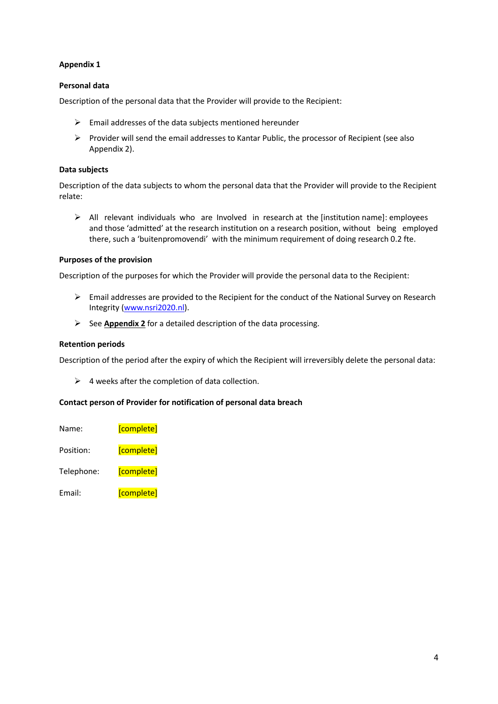# **Appendix 1**

# **Personal data**

Description of the personal data that the Provider will provide to the Recipient:

- $\triangleright$  Email addresses of the data subjects mentioned hereunder
- $\triangleright$  Provider will send the email addresses to Kantar Public, the processor of Recipient (see also Appendix 2).

#### **Data subjects**

Description of the data subjects to whom the personal data that the Provider will provide to the Recipient relate:

 $\triangleright$  All relevant individuals who are Involved in research at the [institution name]: employees and those 'admitted' at the research institution on a research position, without being employed there, such a 'buitenpromovendi' with the minimum requirement of doing research 0.2 fte.

## **Purposes of the provision**

Description of the purposes for which the Provider will provide the personal data to the Recipient:

- Email addresses are provided to the Recipient for the conduct of the National Survey on Research Integrity [\(www.nsri2020.nl\)](http://www.nsri2020.nl/).
- See **Appendix 2** for a detailed description of the data processing.

## **Retention periods**

Description of the period after the expiry of which the Recipient will irreversibly delete the personal data:

 $\triangleright$  4 weeks after the completion of data collection.

# **Contact person of Provider for notification of personal data breach**

| Name:      | [complete] |
|------------|------------|
| Position:  | [complete] |
| Telephone: | [complete] |
| Email:     | [complete] |